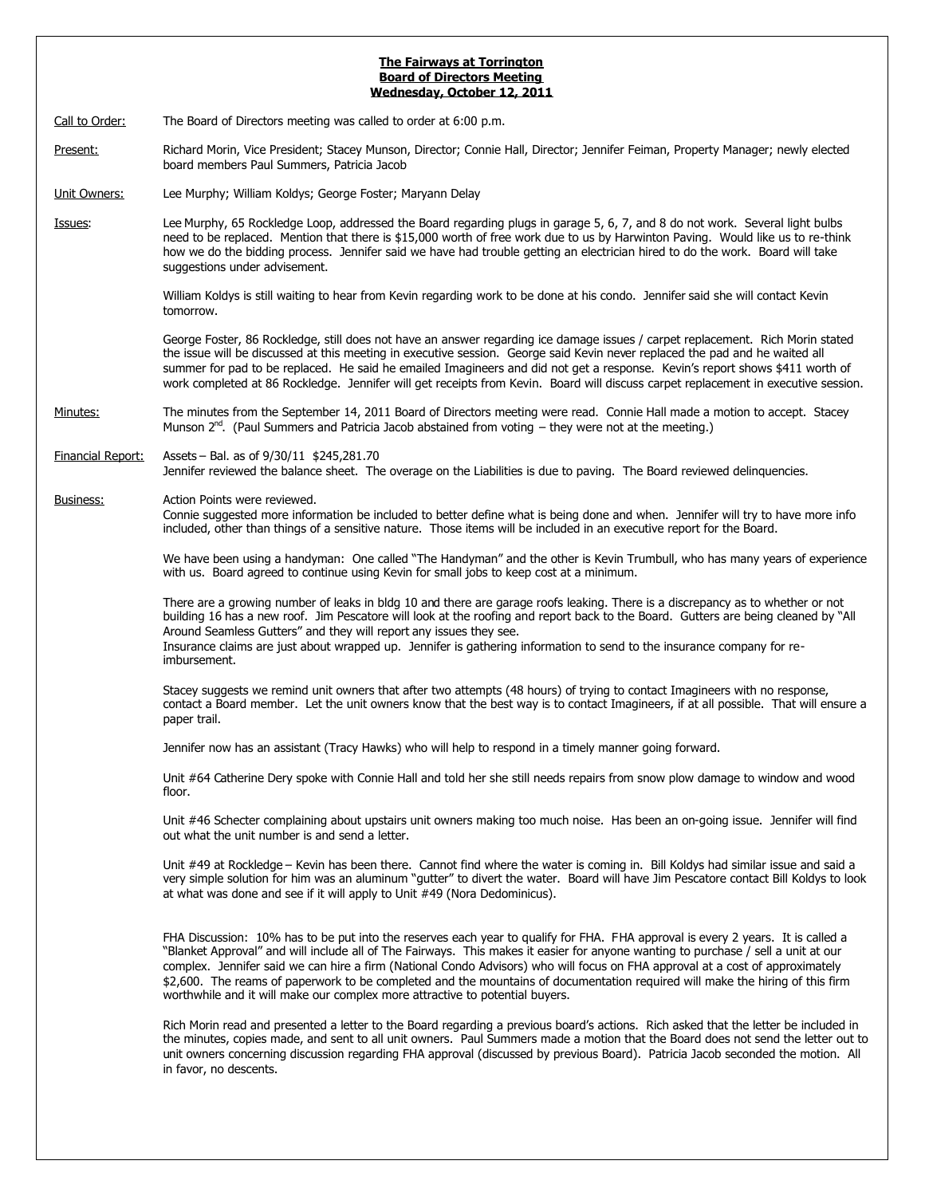## **The Fairways at Torrington Board of Directors Meeting Wednesday, October 12, 2011**

Call to Order: The Board of Directors meeting was called to order at 6:00 p.m.

Present: Richard Morin, Vice President; Stacey Munson, Director; Connie Hall, Director; Jennifer Feiman, Property Manager; newly elected board members Paul Summers, Patricia Jacob

Unit Owners: Lee Murphy; William Koldys; George Foster; Maryann Delay

Issues: Lee Murphy, 65 Rockledge Loop, addressed the Board regarding plugs in garage 5, 6, 7, and 8 do not work. Several light bulbs need to be replaced. Mention that there is \$15,000 worth of free work due to us by Harwinton Paving. Would like us to re-think how we do the bidding process. Jennifer said we have had trouble getting an electrician hired to do the work. Board will take suggestions under advisement.

> William Koldys is still waiting to hear from Kevin regarding work to be done at his condo. Jennifer said she will contact Kevin tomorrow.

George Foster, 86 Rockledge, still does not have an answer regarding ice damage issues / carpet replacement. Rich Morin stated the issue will be discussed at this meeting in executive session. George said Kevin never replaced the pad and he waited all summer for pad to be replaced. He said he emailed Imagineers and did not get a response. Kevin's report shows \$411 worth of work completed at 86 Rockledge. Jennifer will get receipts from Kevin. Board will discuss carpet replacement in executive session.

Minutes: The minutes from the September 14, 2011 Board of Directors meeting were read. Connie Hall made a motion to accept. Stacey Munson  $2^{nd}$ . (Paul Summers and Patricia Jacob abstained from voting  $-$  they were not at the meeting.)

Financial Report: Assets – Bal. as of 9/30/11 \$245,281.70

Jennifer reviewed the balance sheet. The overage on the Liabilities is due to paving. The Board reviewed delinquencies.

Business: Action Points were reviewed.

Connie suggested more information be included to better define what is being done and when. Jennifer will try to have more info included, other than things of a sensitive nature. Those items will be included in an executive report for the Board.

We have been using a handyman: One called "The Handyman" and the other is Kevin Trumbull, who has many years of experience with us. Board agreed to continue using Kevin for small jobs to keep cost at a minimum.

There are a growing number of leaks in bldg 10 and there are garage roofs leaking. There is a discrepancy as to whether or not building 16 has a new roof. Jim Pescatore will look at the roofing and report back to the Board. Gutters are being cleaned by "All Around Seamless Gutters" and they will report any issues they see.

Insurance claims are just about wrapped up. Jennifer is gathering information to send to the insurance company for reimbursement.

Stacey suggests we remind unit owners that after two attempts (48 hours) of trying to contact Imagineers with no response, contact a Board member. Let the unit owners know that the best way is to contact Imagineers, if at all possible. That will ensure a paper trail.

Jennifer now has an assistant (Tracy Hawks) who will help to respond in a timely manner going forward.

Unit #64 Catherine Dery spoke with Connie Hall and told her she still needs repairs from snow plow damage to window and wood floor.

Unit #46 Schecter complaining about upstairs unit owners making too much noise. Has been an on-going issue. Jennifer will find out what the unit number is and send a letter.

Unit #49 at Rockledge – Kevin has been there. Cannot find where the water is coming in. Bill Koldys had similar issue and said a very simple solution for him was an aluminum "gutter" to divert the water. Board will have Jim Pescatore contact Bill Koldys to look at what was done and see if it will apply to Unit #49 (Nora Dedominicus).

FHA Discussion: 10% has to be put into the reserves each year to qualify for FHA. FHA approval is every 2 years. It is called a "Blanket Approval" and will include all of The Fairways. This makes it easier for anyone wanting to purchase / sell a unit at our complex. Jennifer said we can hire a firm (National Condo Advisors) who will focus on FHA approval at a cost of approximately \$2,600. The reams of paperwork to be completed and the mountains of documentation required will make the hiring of this firm worthwhile and it will make our complex more attractive to potential buyers.

Rich Morin read and presented a letter to the Board regarding a previous board's actions. Rich asked that the letter be included in the minutes, copies made, and sent to all unit owners. Paul Summers made a motion that the Board does not send the letter out to unit owners concerning discussion regarding FHA approval (discussed by previous Board). Patricia Jacob seconded the motion. All in favor, no descents.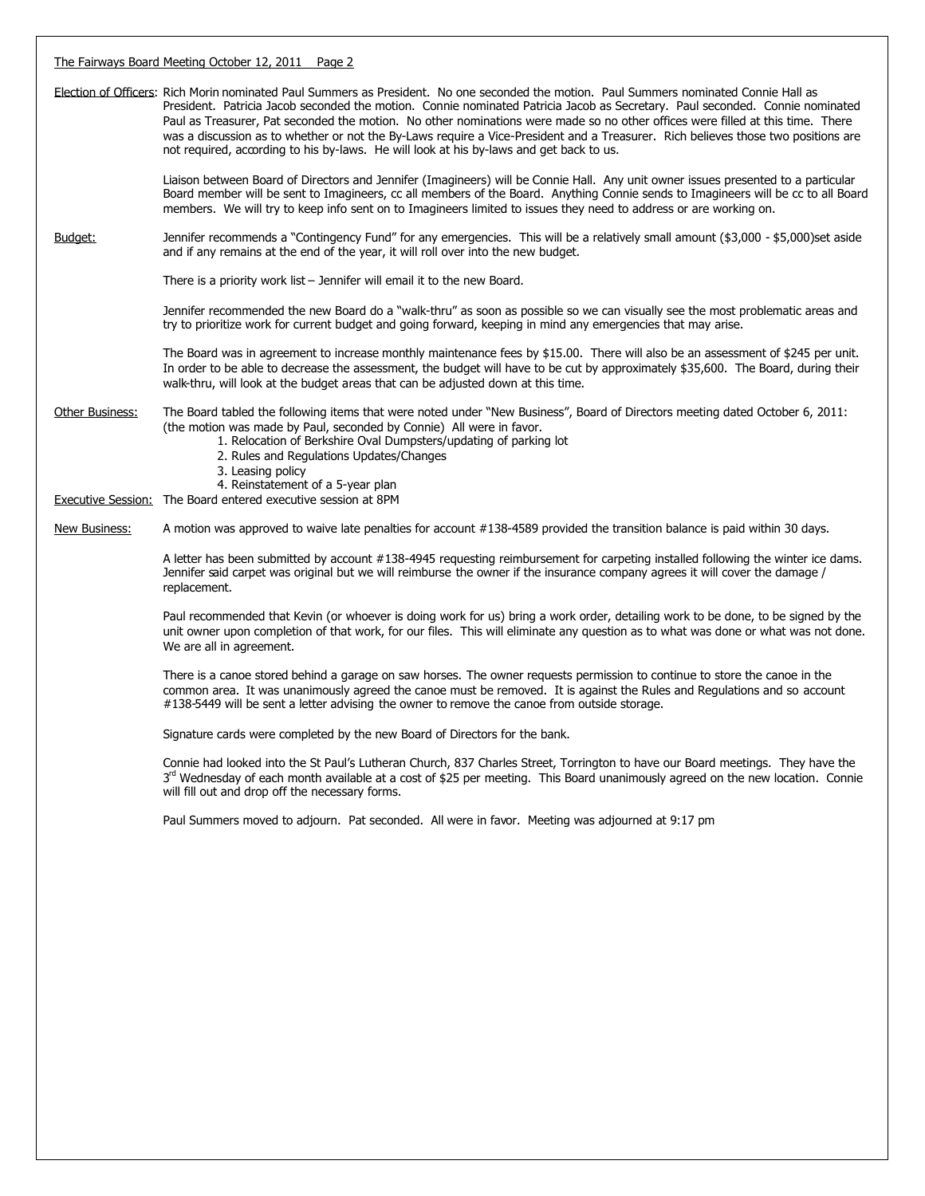## The Fairways Board Meeting October 12, 2011 Page 2

Election of Officers: Rich Morin nominated Paul Summers as President. No one seconded the motion. Paul Summers nominated Connie Hall as President. Patricia Jacob seconded the motion. Connie nominated Patricia Jacob as Secretary. Paul seconded. Connie nominated Paul as Treasurer, Pat seconded the motion. No other nominations were made so no other offices were filled at this time. There was a discussion as to whether or not the By-Laws require a Vice-President and a Treasurer. Rich believes those two positions are not required, according to his by-laws. He will look at his by-laws and get back to us.

> Liaison between Board of Directors and Jennifer (Imagineers) will be Connie Hall. Any unit owner issues presented to a particular Board member will be sent to Imagineers, cc all members of the Board. Anything Connie sends to Imagineers will be cc to all Board members. We will try to keep info sent on to Imagineers limited to issues they need to address or are working on.

Budget: Jennifer recommends a "Contingency Fund" for any emergencies. This will be a relatively small amount (\$3,000 - \$5,000)set aside and if any remains at the end of the year, it will roll over into the new budget.

There is a priority work list – Jennifer will email it to the new Board.

Jennifer recommended the new Board do a "walk-thru" as soon as possible so we can visually see the most problematic areas and try to prioritize work for current budget and going forward, keeping in mind any emergencies that may arise.

The Board was in agreement to increase monthly maintenance fees by \$15.00. There will also be an assessment of \$245 per unit. In order to be able to decrease the assessment, the budget will have to be cut by approximately \$35,600. The Board, during their walk-thru, will look at the budget areas that can be adjusted down at this time.

Other Business: The Board tabled the following items that were noted under "New Business", Board of Directors meeting dated October 6, 2011: (the motion was made by Paul, seconded by Connie) All were in favor.

- 1. Relocation of Berkshire Oval Dumpsters/updating of parking lot
- 2. Rules and Regulations Updates/Changes
- 3. Leasing policy
- 4. Reinstatement of a 5-year plan

Executive Session: The Board entered executive session at 8PM

New Business: A motion was approved to waive late penalties for account #138-4589 provided the transition balance is paid within 30 days.

A letter has been submitted by account #138-4945 requesting reimbursement for carpeting installed following the winter ice dams. Jennifer said carpet was original but we will reimburse the owner if the insurance company agrees it will cover the damage / replacement.

Paul recommended that Kevin (or whoever is doing work for us) bring a work order, detailing work to be done, to be signed by the unit owner upon completion of that work, for our files. This will eliminate any question as to what was done or what was not done. We are all in agreement.

There is a canoe stored behind a garage on saw horses. The owner requests permission to continue to store the canoe in the common area. It was unanimously agreed the canoe must be removed. It is against the Rules and Regulations and so account #138-5449 will be sent a letter advising the owner to remove the canoe from outside storage.

Signature cards were completed by the new Board of Directors for the bank.

Connie had looked into the St Paul's Lutheran Church, 837 Charles Street, Torrington to have our Board meetings. They have the 3<sup>rd</sup> Wednesday of each month available at a cost of \$25 per meeting. This Board unanimously agreed on the new location. Connie will fill out and drop off the necessary forms.

Paul Summers moved to adjourn. Pat seconded. All were in favor. Meeting was adjourned at 9:17 pm